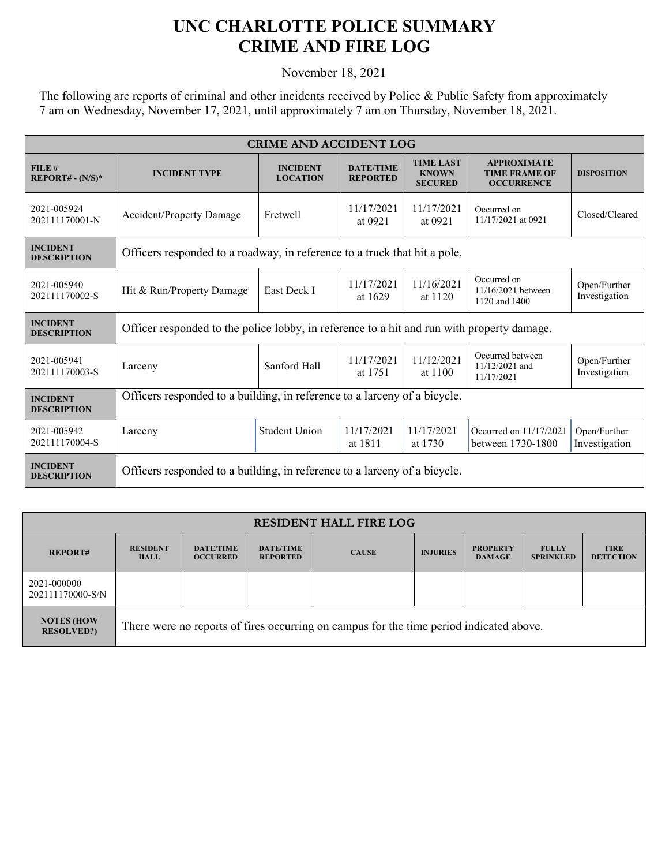## **UNC CHARLOTTE POLICE SUMMARY CRIME AND FIRE LOG**

November 18, 2021

The following are reports of criminal and other incidents received by Police & Public Safety from approximately 7 am on Wednesday, November 17, 2021, until approximately 7 am on Thursday, November 18, 2021.

| <b>CRIME AND ACCIDENT LOG</b>         |                                                                                            |                                    |                                     |                                                    |                                                                 |                               |  |
|---------------------------------------|--------------------------------------------------------------------------------------------|------------------------------------|-------------------------------------|----------------------------------------------------|-----------------------------------------------------------------|-------------------------------|--|
| FILE#<br>$REPORT# - (N/S)*$           | <b>INCIDENT TYPE</b>                                                                       | <b>INCIDENT</b><br><b>LOCATION</b> | <b>DATE/TIME</b><br><b>REPORTED</b> | <b>TIME LAST</b><br><b>KNOWN</b><br><b>SECURED</b> | <b>APPROXIMATE</b><br><b>TIME FRAME OF</b><br><b>OCCURRENCE</b> | <b>DISPOSITION</b>            |  |
| 2021-005924<br>202111170001-N         | <b>Accident/Property Damage</b>                                                            | <b>Fretwell</b>                    | 11/17/2021<br>at 0921               | 11/17/2021<br>at 0921                              | Occurred on<br>11/17/2021 at 0921                               | Closed/Cleared                |  |
| <b>INCIDENT</b><br><b>DESCRIPTION</b> | Officers responded to a roadway, in reference to a truck that hit a pole.                  |                                    |                                     |                                                    |                                                                 |                               |  |
| 2021-005940<br>202111170002-S         | Hit & Run/Property Damage                                                                  | East Deck I                        | 11/17/2021<br>at 1629               | 11/16/2021<br>at 1120                              | Occurred on<br>11/16/2021 between<br>1120 and 1400              | Open/Further<br>Investigation |  |
| <b>INCIDENT</b><br><b>DESCRIPTION</b> | Officer responded to the police lobby, in reference to a hit and run with property damage. |                                    |                                     |                                                    |                                                                 |                               |  |
| 2021-005941<br>202111170003-S         | Larceny                                                                                    | Sanford Hall                       | 11/17/2021<br>at 1751               | 11/12/2021<br>at 1100                              | Occurred between<br>11/12/2021 and<br>11/17/2021                | Open/Further<br>Investigation |  |
| <b>INCIDENT</b><br><b>DESCRIPTION</b> | Officers responded to a building, in reference to a larceny of a bicycle.                  |                                    |                                     |                                                    |                                                                 |                               |  |
| 2021-005942<br>202111170004-S         | Larceny                                                                                    | <b>Student Union</b>               | 11/17/2021<br>at 1811               | 11/17/2021<br>at 1730                              | Occurred on 11/17/2021<br>between 1730-1800                     | Open/Further<br>Investigation |  |
| <b>INCIDENT</b><br><b>DESCRIPTION</b> | Officers responded to a building, in reference to a larceny of a bicycle.                  |                                    |                                     |                                                    |                                                                 |                               |  |

| <b>RESIDENT HALL FIRE LOG</b>          |                                                                                         |                                     |                                     |              |                 |                                  |                                  |                                 |
|----------------------------------------|-----------------------------------------------------------------------------------------|-------------------------------------|-------------------------------------|--------------|-----------------|----------------------------------|----------------------------------|---------------------------------|
| <b>REPORT#</b>                         | <b>RESIDENT</b><br><b>HALL</b>                                                          | <b>DATE/TIME</b><br><b>OCCURRED</b> | <b>DATE/TIME</b><br><b>REPORTED</b> | <b>CAUSE</b> | <b>INJURIES</b> | <b>PROPERTY</b><br><b>DAMAGE</b> | <b>FULLY</b><br><b>SPRINKLED</b> | <b>FIRE</b><br><b>DETECTION</b> |
| 2021-000000<br>202111170000-S/N        |                                                                                         |                                     |                                     |              |                 |                                  |                                  |                                 |
| <b>NOTES (HOW</b><br><b>RESOLVED?)</b> | There were no reports of fires occurring on campus for the time period indicated above. |                                     |                                     |              |                 |                                  |                                  |                                 |